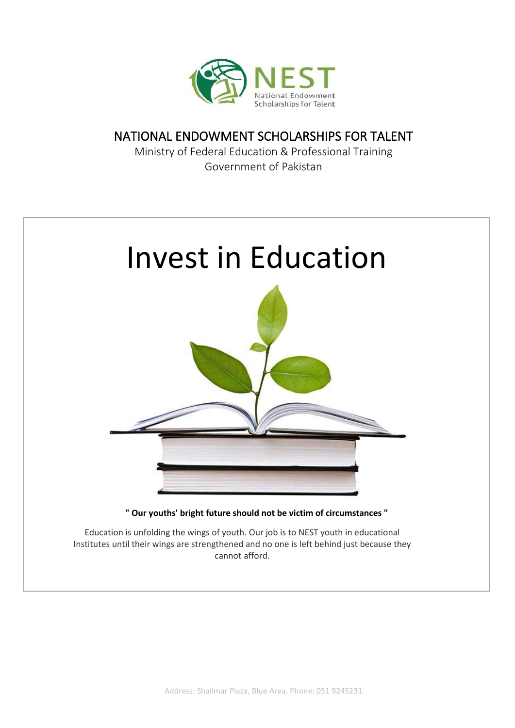

### NATIONAL ENDOWMENT SCHOLARSHIPS FOR TALENT

Ministry of Federal Education & Professional Training Government of Pakistan

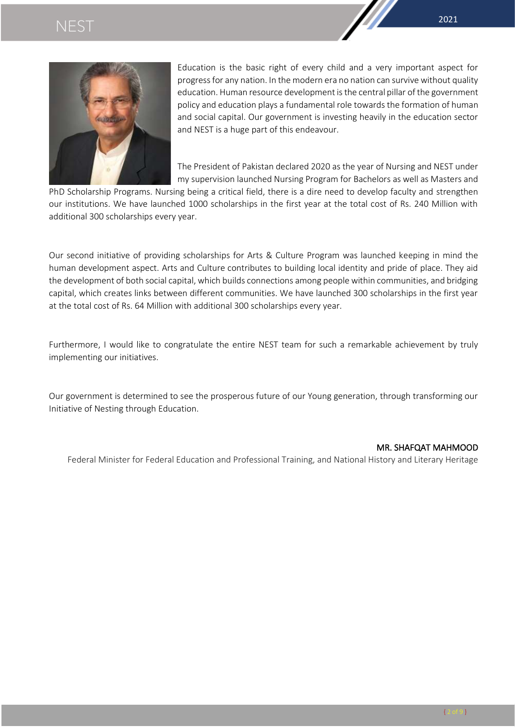

Education is the basic right of every child and a very important aspect for progress for any nation. In the modern era no nation can survive without quality education. Human resource development is the central pillar of the government policy and education plays a fundamental role towards the formation of human and social capital. Our government is investing heavily in the education sector and NEST is a huge part of this endeavour.

The President of Pakistan declared 2020 as the year of Nursing and NEST under my supervision launched Nursing Program for Bachelors as well as Masters and

PhD Scholarship Programs. Nursing being a critical field, there is a dire need to develop faculty and strengthen our institutions. We have launched 1000 scholarships in the first year at the total cost of Rs. 240 Million with additional 300 scholarships every year.

Our second initiative of providing scholarships for Arts & Culture Program was launched keeping in mind the human development aspect. Arts and Culture contributes to building local identity and pride of place. They aid the development of both social capital, which builds connections among people within communities, and bridging capital, which creates links between different communities. We have launched 300 scholarships in the first year at the total cost of Rs. 64 Million with additional 300 scholarships every year.

Furthermore, I would like to congratulate the entire NEST team for such a remarkable achievement by truly implementing our initiatives.

Our government is determined to see the prosperous future of our Young generation, through transforming our Initiative of Nesting through Education.

### MR[. SHAFQAT MAHMOOD](https://twitter.com/shafqat_mahmood)

Federal Minister for Federal Education and Professional Training, and National History and Literary Heritage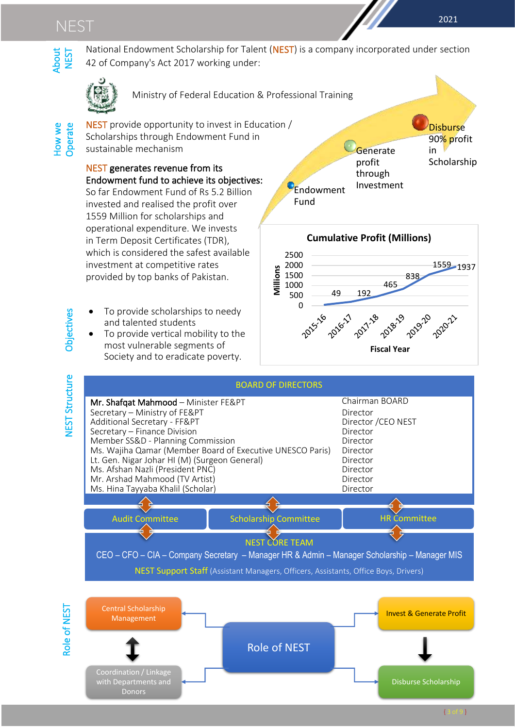

National Endowment Scholarship for Talent (NEST) is a company incorporated under section 42 of Company's Act 2017 working under:

Fund



Ministry of Federal Education & Professional Training

How we About<br>Operate NEST How we<br>Operate

NEST provide opportunity to invest in Education / Scholarships through Endowment Fund in sustainable mechanism

#### NEST generates revenue from its Endowment fund to achieve its objectives: Ī

So far Endowment Fund of Rs 5.2 Billion invested and realised the profit over 1559 Million for scholarships and operational expenditure. We invests in Term Deposit Certificates (TDR), which is considered the safest available investment at competitive rates provided by top banks of Pakistan. יי<br>י  $\overline{\phantom{a}}$ 

- To provide scholarships to needy and talented students
- To provide vertical mobility to the most vulnerable segments of Society and to eradicate poverty.







**Objectives** 

NEST Structure Objectives **JEST Structure** 

.<br>Donors i

ï

Disburse Scholarship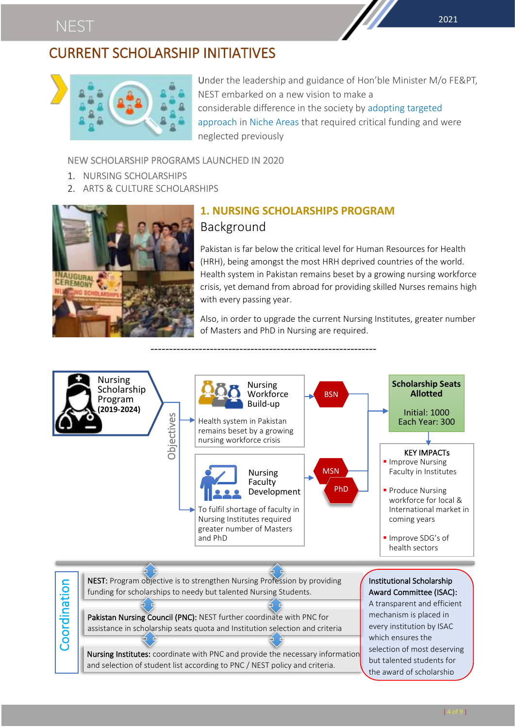## CURRENT SCHOLARSHIP INITIATIVES



Under the leadership and guidance of Hon'ble Minister M/o FE&PT, NEST embarked on a new vision to make a considerable difference in the society by adopting targeted approach in Niche Areas that required critical funding and were neglected previously

### NEW SCHOLARSHIP PROGRAMS LAUNCHED IN 2020

- 1. NURSING SCHOLARSHIPS
- 2. ARTS & CULTURE SCHOLARSHIPS



### **1. NURSING SCHOLARSHIPS PROGRAM** Background

Pakistan is far below the critical level for Human Resources for Health (HRH), being amongst the most HRH deprived countries of the world. Health system in Pakistan remains beset by a growing nursing workforce crisis, yet demand from abroad for providing skilled Nurses remains high with every passing year.

Also, in order to upgrade the current Nursing Institutes, greater number of Masters and PhD in Nursing are required.

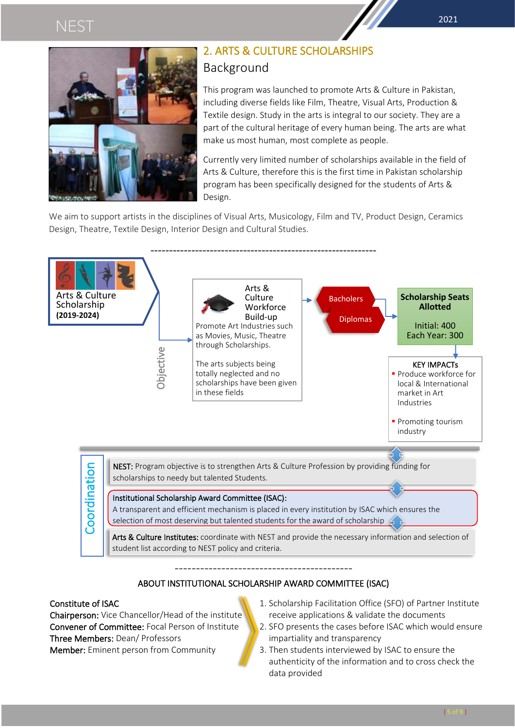

### 2. ARTS & CULTURE SCHOLARSHIPS Background

This program was launched to promote Arts & Culture in Pakistan, including diverse fields like Film, Theatre, Visual Arts, Production & Textile design. Study in the arts is integral to our society. They are a part of the cultural heritage of every human being. The arts are what make us most human, most complete as people.

Currently very limited number of scholarships available in the field of Arts & Culture, therefore this is the first time in Pakistan scholarship program has been specifically designed for the students of Arts & Design.

We aim to support artists in the disciplines of Visual Arts, Musicology, Film and TV, Product Design, Ceramics Design, Theatre, Textile Design, Interior Design and Cultural Studies.



### ABOUT INSTITUTIONAL SCHOLARSHIP AWARD COMMITTEE (ISAC)

### Constitute of ISAC

Chairperson: Vice Chancellor/Head of the institute Convener of Committee: Focal Person of Institute Three Members: Dean/ Professors Member: Eminent person from Community

- 1. Scholarship Facilitation Office (SFO) of Partner Institute receive applications & validate the documents
- 2. SFO presents the cases before ISAC which would ensure impartiality and transparency
- 3. Then students interviewed by ISAC to ensure the authenticity of the information and to cross check the data provided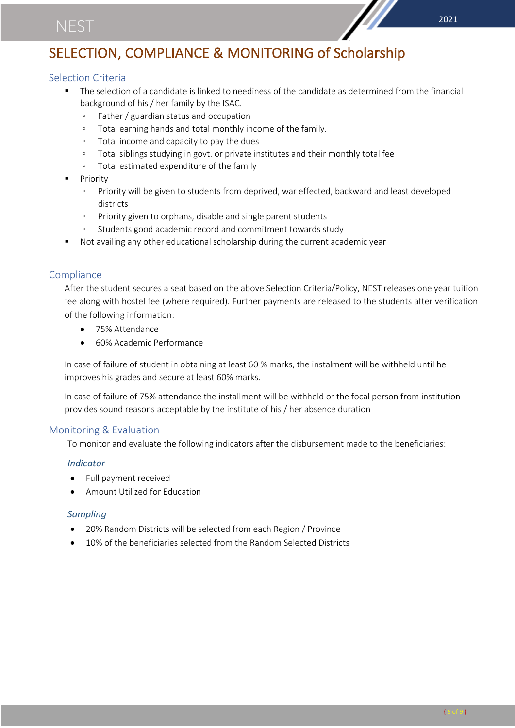## SELECTION, COMPLIANCE & MONITORING of Scholarship

### Selection Criteria

- The selection of a candidate is linked to neediness of the candidate as determined from the financial background of his / her family by the ISAC.
	- Father / guardian status and occupation
	- Total earning hands and total monthly income of the family.
	- Total income and capacity to pay the dues
	- Total siblings studying in govt. or private institutes and their monthly total fee
	- Total estimated expenditure of the family
- **Priority** 
	- Priority will be given to students from deprived, war effected, backward and least developed districts
	- Priority given to orphans, disable and single parent students
	- Students good academic record and commitment towards study
- Not availing any other educational scholarship during the current academic year

### **Compliance**

After the student secures a seat based on the above Selection Criteria/Policy, NEST releases one year tuition fee along with hostel fee (where required). Further payments are released to the students after verification of the following information:

- 75% Attendance
- 60% Academic Performance

In case of failure of student in obtaining at least 60 % marks, the instalment will be withheld until he improves his grades and secure at least 60% marks.

In case of failure of 75% attendance the installment will be withheld or the focal person from institution provides sound reasons acceptable by the institute of his / her absence duration

### Monitoring & Evaluation

To monitor and evaluate the following indicators after the disbursement made to the beneficiaries:

### *Indicator*

- Full payment received
- Amount Utilized for Education

### *Sampling*

- 20% Random Districts will be selected from each Region / Province
- 10% of the beneficiaries selected from the Random Selected Districts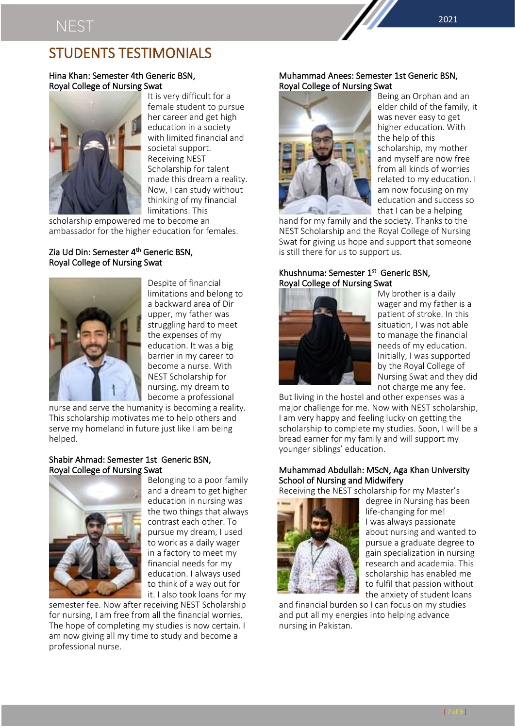### STUDENTS TESTIMONIALS

### Hina Khan: Semester 4th Generic BSN, Royal College of Nursing Swat



It is very difficult for a female student to pursue her career and get high education in a society with limited financial and societal support. Receiving NEST Scholarship for talent made this dream a reality. Now, I can study without thinking of my financial limitations. This

scholarship empowered me to become an ambassador for the higher education for females.

### Zia Ud Din: Semester 4<sup>th</sup> Generic BSN, Royal College of Nursing Swat



Despite of financial limitations and belong to a backward area of Dir upper, my father was struggling hard to meet the expenses of my education. It was a big barrier in my career to become a nurse. With NEST Scholarship for nursing, my dream to become a professional

nurse and serve the humanity is becoming a reality. This scholarship motivates me to help others and serve my homeland in future just like I am being helped.

### Shabir Ahmad: Semester 1st Generic BSN, Royal College of Nursing Swat



Belonging to a poor family and a dream to get higher education in nursing was the two things that always contrast each other. To pursue my dream, I used to work as a daily wager in a factory to meet my financial needs for my education. I always used to think of a way out for it. I also took loans for my

semester fee. Now after receiving NEST Scholarship for nursing, I am free from all the financial worries. The hope of completing my studies is now certain. I am now giving all my time to study and become a professional nurse.

### Muhammad Anees: Semester 1st Generic BSN, Royal College of Nursing Swat



Being an Orphan and an elder child of the family, it was never easy to get higher education. With the help of this scholarship, my mother and myself are now free from all kinds of worries related to my education. I am now focusing on my education and success so that I can be a helping

hand for my family and the society. Thanks to the NEST Scholarship and the Royal College of Nursing Swat for giving us hope and support that someone is still there for us to support us.

### Khushnuma: Semester 1<sup>st</sup> Generic BSN, Royal College of Nursing Swat



My brother is a daily wager and my father is a patient of stroke. In this situation, I was not able to manage the financial needs of my education. Initially, I was supported by the Royal College of Nursing Swat and they did not charge me any fee.

But living in the hostel and other expenses was a major challenge for me. Now with NEST scholarship, I am very happy and feeling lucky on getting the scholarship to complete my studies. Soon, I will be a bread earner for my family and will support my younger siblings' education.

### Muhammad Abdullah: MScN, Aga Khan University School of Nursing and Midwifery

Receiving the NEST scholarship for my Master's



degree in Nursing has been life-changing for me! I was always passionate about nursing and wanted to pursue a graduate degree to gain specialization in nursing research and academia. This scholarship has enabled me to fulfil that passion without the anxiety of student loans

and financial burden so I can focus on my studies and put all my energies into helping advance nursing in Pakistan.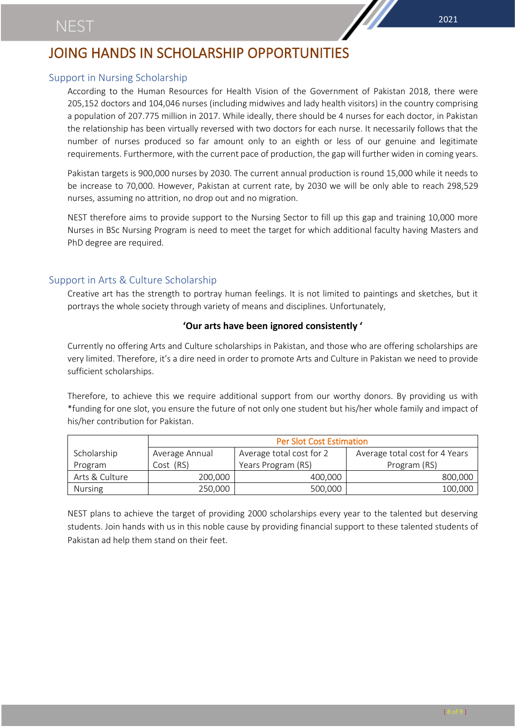## JOING HANDS IN SCHOLARSHIP OPPORTUNITIES

### Support in Nursing Scholarship

According to the Human Resources for Health Vision of the Government of Pakistan 2018, there were 205,152 doctors and 104,046 nurses (including midwives and lady health visitors) in the country comprising a population of 207.775 million in 2017. While ideally, there should be 4 nurses for each doctor, in Pakistan the relationship has been virtually reversed with two doctors for each nurse. It necessarily follows that the number of nurses produced so far amount only to an eighth or less of our genuine and legitimate requirements. Furthermore, with the current pace of production, the gap will further widen in coming years.

Pakistan targets is 900,000 nurses by 2030. The current annual production is round 15,000 while it needs to be increase to 70,000. However, Pakistan at current rate, by 2030 we will be only able to reach 298,529 nurses, assuming no attrition, no drop out and no migration.

NEST therefore aims to provide support to the Nursing Sector to fill up this gap and training 10,000 more Nurses in BSc Nursing Program is need to meet the target for which additional faculty having Masters and PhD degree are required.

### Support in Arts & Culture Scholarship

Creative art has the strength to portray human feelings. It is not limited to paintings and sketches, but it portrays the whole society through variety of means and disciplines. Unfortunately,

### **'Our arts have been ignored consistently '**

Currently no offering Arts and Culture scholarships in Pakistan, and those who are offering scholarships are very limited. Therefore, it's a dire need in order to promote Arts and Culture in Pakistan we need to provide sufficient scholarships.

Therefore, to achieve this we require additional support from our worthy donors. By providing us with \*funding for one slot, you ensure the future of not only one student but his/her whole family and impact of his/her contribution for Pakistan.

|                | <b>Per Slot Cost Estimation</b> |                          |                                |
|----------------|---------------------------------|--------------------------|--------------------------------|
| Scholarship    | Average Annual                  | Average total cost for 2 | Average total cost for 4 Years |
| Program        | Cost (RS)                       | Years Program (RS)       | Program (RS)                   |
| Arts & Culture | 200.000                         | 400,000                  | 800,000                        |
| <b>Nursing</b> | 250,000                         | 500,000                  | 100,000                        |

NEST plans to achieve the target of providing 2000 scholarships every year to the talented but deserving students. Join hands with us in this noble cause by providing financial support to these talented students of Pakistan ad help them stand on their feet.